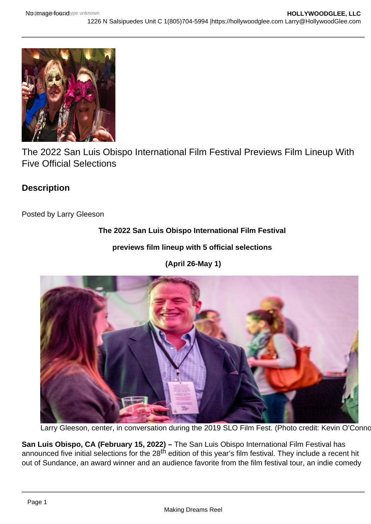The 2022 San Luis Obispo International Film Festival Previews Film Lineup With Five Official Selections

**Description** 

Posted by Larry Gleeson

The 2022 San Luis Obispo International Film Festival

previews film lineup with 5 official selections

(April 26-May 1)

Larry Gleeson, center, in conversation during the 2019 SLO Film Fest. (Photo credit: Kevin O'Conno

San Luis Obispo, CA (February 15, 2022) – The San Luis Obispo International Film Festival has announced five initial selections for the 28<sup>th</sup> edition of this year's film festival. They include a recent hit out of Sundance, an award winner and an audience favorite from the film festival tour, an indie comedy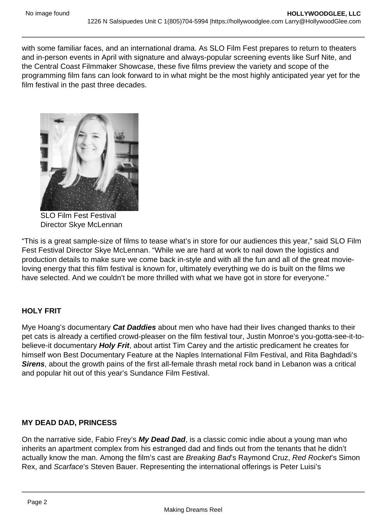with some familiar faces, and an international drama. As SLO Film Fest prepares to return to theaters and in-person events in April with signature and always-popular screening events like Surf Nite, and the Central Coast Filmmaker Showcase, these five films preview the variety and scope of the programming film fans can look forward to in what might be the most highly anticipated year yet for the film festival in the past three decades.

SLO Film Fest Festival Director Skye McLennan

"This is a great sample-size of films to tease what's in store for our audiences this year," said SLO Film Fest Festival Director Skye McLennan. "While we are hard at work to nail down the logistics and production details to make sure we come back in-style and with all the fun and all of the great movieloving energy that this film festival is known for, ultimately everything we do is built on the films we have selected. And we couldn't be more thrilled with what we have got in store for everyone."

# HOLY FRIT

Mye Hoang's documentary Cat Daddies about men who have had their lives changed thanks to their pet cats is already a certified crowd-pleaser on the film festival tour, Justin Monroe's you-gotta-see-it-tobelieve-it documentary Holy Frit , about artist Tim Carey and the artistic predicament he creates for himself won Best Documentary Feature at the Naples International Film Festival, and Rita Baghdadi's Sirens , about the growth pains of the first all-female thrash metal rock band in Lebanon was a critical and popular hit out of this year's Sundance Film Festival.

## MY DEAD DAD, PRINCESS

On the narrative side, Fabio Frey's My Dead Dad , is a classic comic indie about a young man who inherits an apartment complex from his estranged dad and finds out from the tenants that he didn't actually know the man. Among the film's cast are Breaking Bad's Raymond Cruz, Red Rocket's Simon Rex, and Scarface's Steven Bauer. Representing the international offerings is Peter Luisi's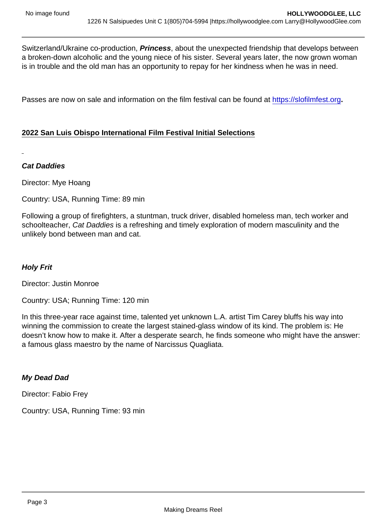Switzerland/Ukraine co-production, Princess , about the unexpected friendship that develops between a broken-down alcoholic and the young niece of his sister. Several years later, the now grown woman is in trouble and the old man has an opportunity to repay for her kindness when he was in need.

Passes are now on sale and information on the film festival can be found at<https://slofilmfest.org>.

## 2022 San Luis Obispo International Film Festival Initial Selections

Cat Daddies

Director: Mye Hoang

Country: USA, Running Time: 89 min

Following a group of firefighters, a stuntman, truck driver, disabled homeless man, tech worker and schoolteacher, Cat Daddies is a refreshing and timely exploration of modern masculinity and the unlikely bond between man and cat.

Holy Frit

Director: Justin Monroe

Country: USA; Running Time: 120 min

In this three-year race against time, talented yet unknown L.A. artist Tim Carey bluffs his way into winning the commission to create the largest stained-glass window of its kind. The problem is: He doesn't know how to make it. After a desperate search, he finds someone who might have the answer: a famous glass maestro by the name of Narcissus Quagliata.

My Dead Dad

Director: Fabio Frey

Country: USA, Running Time: 93 min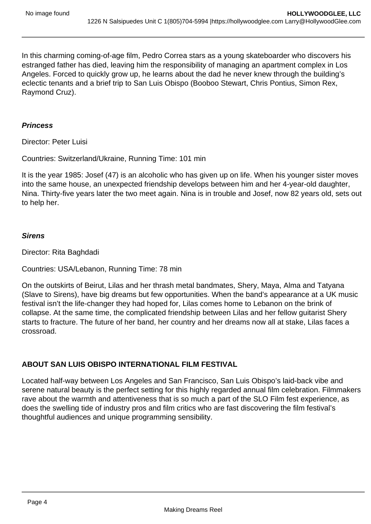In this charming coming-of-age film, Pedro Correa stars as a young skateboarder who discovers his estranged father has died, leaving him the responsibility of managing an apartment complex in Los Angeles. Forced to quickly grow up, he learns about the dad he never knew through the building's eclectic tenants and a brief trip to San Luis Obispo (Booboo Stewart, Chris Pontius, Simon Rex, Raymond Cruz).

### **Princess**

Director: Peter Luisi

Countries: Switzerland/Ukraine, Running Time: 101 min

It is the year 1985: Josef (47) is an alcoholic who has given up on life. When his younger sister moves into the same house, an unexpected friendship develops between him and her 4-year-old daughter, Nina. Thirty-five years later the two meet again. Nina is in trouble and Josef, now 82 years old, sets out to help her.

#### **Sirens**

Director: Rita Baghdadi

Countries: USA/Lebanon, Running Time: 78 min

On the outskirts of Beirut, Lilas and her thrash metal bandmates, Shery, Maya, Alma and Tatyana (Slave to Sirens), have big dreams but few opportunities. When the band's appearance at a UK music festival isn't the life-changer they had hoped for, Lilas comes home to Lebanon on the brink of collapse. At the same time, the complicated friendship between Lilas and her fellow guitarist Shery starts to fracture. The future of her band, her country and her dreams now all at stake, Lilas faces a crossroad.

# **ABOUT SAN LUIS OBISPO INTERNATIONAL FILM FESTIVAL**

Located half-way between Los Angeles and San Francisco, San Luis Obispo's laid-back vibe and serene natural beauty is the perfect setting for this highly regarded annual film celebration. Filmmakers rave about the warmth and attentiveness that is so much a part of the SLO Film fest experience, as does the swelling tide of industry pros and film critics who are fast discovering the film festival's thoughtful audiences and unique programming sensibility.